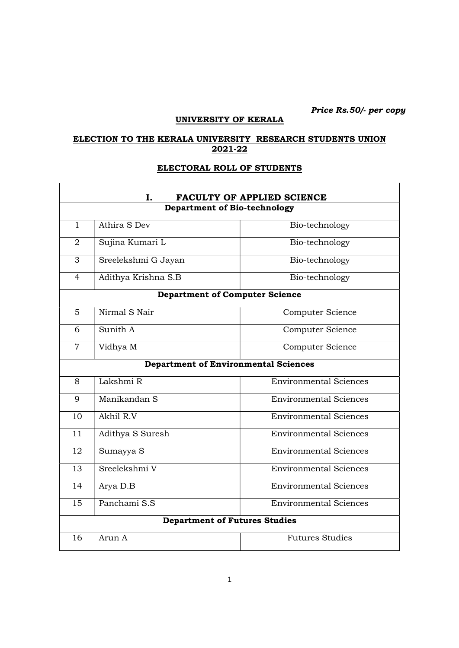Price Rs.50/- per copy

 $\overline{\phantom{0}}$ 

## UNIVERSITY OF KERALA

## ELECTION TO THE KERALA UNIVERSITY RESEARCH STUDENTS UNION 2021-22

## ELECTORAL ROLL OF STUDENTS

 $\Gamma$ 

| I.<br><b>FACULTY OF APPLIED SCIENCE</b> |                                             |                               |  |
|-----------------------------------------|---------------------------------------------|-------------------------------|--|
| <b>Department of Bio-technology</b>     |                                             |                               |  |
| $\mathbf{1}$                            | Athira S Dev                                | Bio-technology                |  |
| $\overline{2}$                          | Sujina Kumari L                             | Bio-technology                |  |
| 3                                       | Sreelekshmi G Jayan                         | Bio-technology                |  |
| 4                                       | Adithya Krishna S.B                         | Bio-technology                |  |
| <b>Department of Computer Science</b>   |                                             |                               |  |
| 5                                       | Nirmal S Nair                               | Computer Science              |  |
| 6                                       | Sunith A                                    | Computer Science              |  |
| $\overline{7}$                          | Vidhya M                                    | Computer Science              |  |
|                                         | <b>Department of Environmental Sciences</b> |                               |  |
| 8                                       | Lakshmi R                                   | Environmental Sciences        |  |
| 9                                       | Manikandan S                                | <b>Environmental Sciences</b> |  |
| 10                                      | Akhil R.V                                   | <b>Environmental Sciences</b> |  |
| 11                                      | Adithya S Suresh                            | <b>Environmental Sciences</b> |  |
| 12                                      | Sumayya S                                   | <b>Environmental Sciences</b> |  |
| 13                                      | Sreelekshmi V                               | Environmental Sciences        |  |
| 14                                      | Arya D.B                                    | <b>Environmental Sciences</b> |  |
| 15                                      | Panchami S.S                                | Environmental Sciences        |  |
| <b>Department of Futures Studies</b>    |                                             |                               |  |
| 16                                      | Arun A                                      | <b>Futures Studies</b>        |  |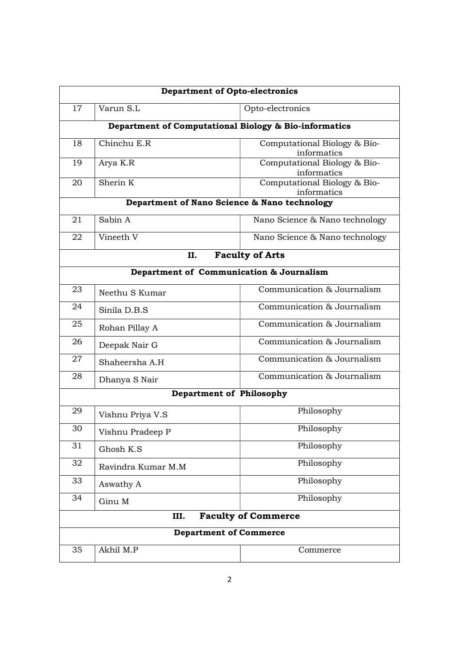| <b>Department of Opto-electronics</b>        |                                                       |                                             |
|----------------------------------------------|-------------------------------------------------------|---------------------------------------------|
| 17                                           | Varun S.L                                             | Opto-electronics                            |
|                                              | Department of Computational Biology & Bio-informatics |                                             |
| 18                                           | Chinchu E.R                                           | Computational Biology & Bio-<br>informatics |
| 19                                           | Arya K.R                                              | Computational Biology & Bio-<br>informatics |
| 20                                           | Sherin K                                              | Computational Biology & Bio-<br>informatics |
| Department of Nano Science & Nano technology |                                                       |                                             |
| 21                                           | Sabin A                                               | Nano Science & Nano technology              |
| 22                                           | Vineeth V                                             | Nano Science & Nano technology              |
|                                              | П.                                                    | <b>Faculty of Arts</b>                      |
| Department of Communication & Journalism     |                                                       |                                             |
| 23                                           | Neethu S Kumar                                        | Communication & Journalism                  |
| 24                                           | Sinila D.B.S                                          | Communication & Journalism                  |
| 25                                           | Rohan Pillay A                                        | Communication & Journalism                  |
| 26                                           | Deepak Nair G                                         | Communication & Journalism                  |
| 27                                           | Shaheersha A.H                                        | Communication & Journalism                  |
| 28                                           | Dhanya S Nair                                         | Communication & Journalism                  |
| <b>Department of Philosophy</b>              |                                                       |                                             |
| 29                                           | Vishnu Priya V.S                                      | Philosophy                                  |
| 30                                           | Vishnu Pradeep P                                      | Philosophy                                  |
| 31                                           | Ghosh K.S                                             | Philosophy                                  |
| 32                                           | Ravindra Kumar M.M                                    | Philosophy                                  |
| 33                                           | Aswathy A                                             | Philosophy                                  |
| 34                                           | Ginu M                                                | Philosophy                                  |
| <b>Faculty of Commerce</b><br>III.           |                                                       |                                             |
| <b>Department of Commerce</b>                |                                                       |                                             |
| 35                                           | Akhil M.P                                             | Commerce                                    |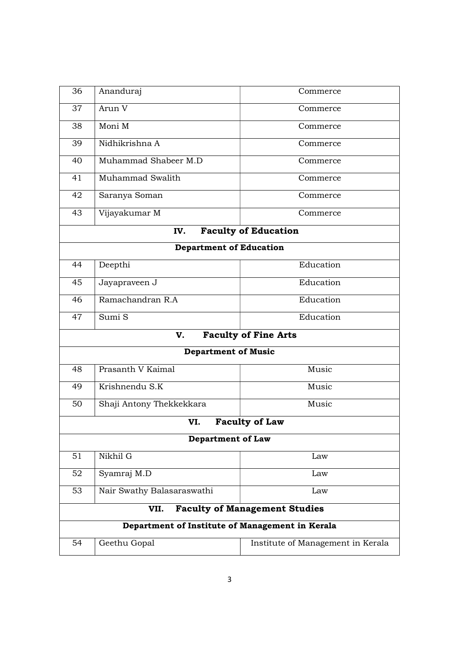| 36                                              | Ananduraj                  | Commerce                          |
|-------------------------------------------------|----------------------------|-----------------------------------|
| 37                                              | Arun V                     | Commerce                          |
| 38                                              | Moni M                     | Commerce                          |
| 39                                              | Nidhikrishna A             | Commerce                          |
| 40                                              | Muhammad Shabeer M.D       | Commerce                          |
| 41                                              | Muhammad Swalith           | Commerce                          |
| 42                                              | Saranya Soman              | Commerce                          |
| 43                                              | Vijayakumar M              | Commerce                          |
| <b>Faculty of Education</b><br>IV.              |                            |                                   |
| <b>Department of Education</b>                  |                            |                                   |
| 44                                              | Deepthi                    | Education                         |
| 45                                              | Jayapraveen J              | Education                         |
| 46                                              | Ramachandran R.A           | Education                         |
| 47                                              | Sumi S                     | Education                         |
|                                                 | V.                         | <b>Faculty of Fine Arts</b>       |
| <b>Department of Music</b>                      |                            |                                   |
| 48                                              | Prasanth V Kaimal          | Music                             |
| 49                                              | Krishnendu S.K             | Music                             |
| 50                                              | Shaji Antony Thekkekkara   | Music                             |
|                                                 | VI.                        | <b>Faculty of Law</b>             |
| <b>Department of Law</b>                        |                            |                                   |
| 51                                              | Nikhil G                   | Law                               |
| 52                                              | Syamraj M.D                | Law                               |
| 53                                              | Nair Swathy Balasaraswathi | Law                               |
| <b>Faculty of Management Studies</b><br>VII.    |                            |                                   |
| Department of Institute of Management in Kerala |                            |                                   |
| 54                                              | Geethu Gopal               | Institute of Management in Kerala |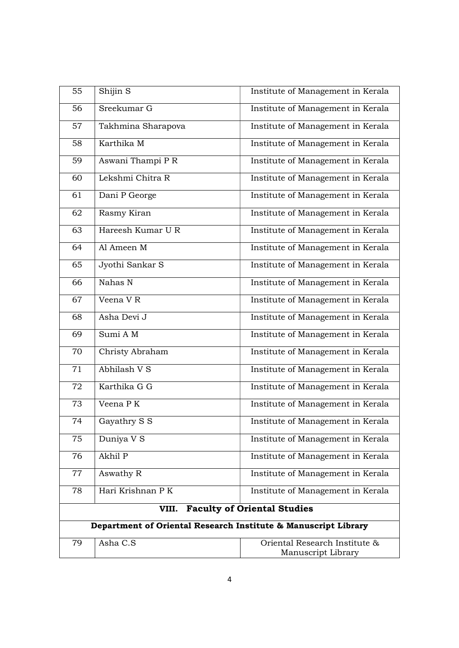| 55                                          | Shijin S                                                       | Institute of Management in Kerala                   |
|---------------------------------------------|----------------------------------------------------------------|-----------------------------------------------------|
| 56                                          | Sreekumar G                                                    | Institute of Management in Kerala                   |
| 57                                          | Takhmina Sharapova                                             | Institute of Management in Kerala                   |
| 58                                          | Karthika M                                                     | Institute of Management in Kerala                   |
| 59                                          | Aswani Thampi P R                                              | Institute of Management in Kerala                   |
| 60                                          | Lekshmi Chitra R                                               | Institute of Management in Kerala                   |
| 61                                          | Dani P George                                                  | Institute of Management in Kerala                   |
| 62                                          | Rasmy Kiran                                                    | Institute of Management in Kerala                   |
| 63                                          | Hareesh Kumar U R                                              | Institute of Management in Kerala                   |
| 64                                          | Al Ameen M                                                     | Institute of Management in Kerala                   |
| 65                                          | Jyothi Sankar S                                                | Institute of Management in Kerala                   |
| 66                                          | Nahas N                                                        | Institute of Management in Kerala                   |
| 67                                          | Veena VR                                                       | Institute of Management in Kerala                   |
| 68                                          | Asha Devi J                                                    | Institute of Management in Kerala                   |
| 69                                          | Sumi A M                                                       | Institute of Management in Kerala                   |
| 70                                          | Christy Abraham                                                | Institute of Management in Kerala                   |
| 71                                          | Abhilash V S                                                   | Institute of Management in Kerala                   |
| 72                                          | Karthika G G                                                   | Institute of Management in Kerala                   |
| 73                                          | Veena PK                                                       | Institute of Management in Kerala                   |
| 74                                          | Gayathry S S                                                   | Institute of Management in Kerala                   |
| 75                                          | Duniya V S                                                     | Institute of Management in Kerala                   |
| 76                                          | Akhil P                                                        | Institute of Management in Kerala                   |
| 77                                          | Aswathy R                                                      | Institute of Management in Kerala                   |
| 78                                          | Hari Krishnan P K                                              | Institute of Management in Kerala                   |
| <b>Faculty of Oriental Studies</b><br>VIII. |                                                                |                                                     |
|                                             | Department of Oriental Research Institute & Manuscript Library |                                                     |
| 79                                          | Asha C.S                                                       | Oriental Research Institute &<br>Manuscript Library |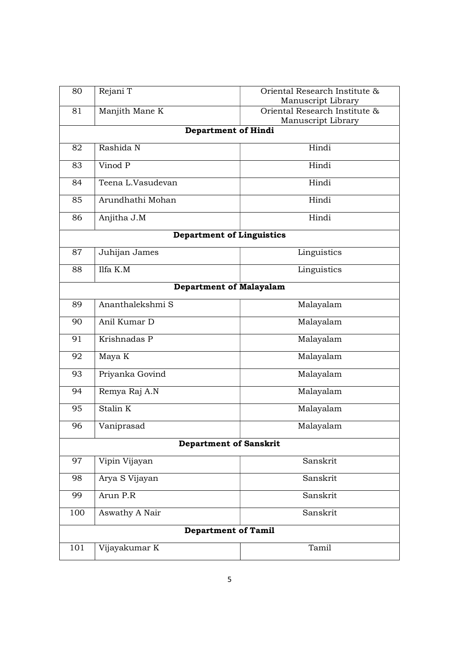| 80                             | Rejani T                         | Oriental Research Institute &                       |
|--------------------------------|----------------------------------|-----------------------------------------------------|
| 81                             | Manjith Mane K                   | Manuscript Library<br>Oriental Research Institute & |
|                                |                                  | Manuscript Library                                  |
|                                | <b>Department of Hindi</b>       |                                                     |
| 82                             | Rashida N                        | Hindi                                               |
| 83                             | Vinod P                          | Hindi                                               |
| 84                             | Teena L.Vasudevan                | Hindi                                               |
| 85                             | Arundhathi Mohan                 | Hindi                                               |
| 86                             | Anjitha J.M                      | Hindi                                               |
|                                | <b>Department of Linguistics</b> |                                                     |
| 87                             | Juhijan James                    | Linguistics                                         |
| 88                             | Ilfa K.M                         | Linguistics                                         |
| <b>Department of Malayalam</b> |                                  |                                                     |
| 89                             | Ananthalekshmi S                 | Malayalam                                           |
| 90                             | Anil Kumar D                     | Malayalam                                           |
| 91                             | Krishnadas P                     | Malayalam                                           |
| 92                             | Maya K                           | Malayalam                                           |
| 93                             | Priyanka Govind                  | Malayalam                                           |
| 94                             | Remya Raj A.N                    | Malayalam                                           |
| 95                             | Stalin K                         | Malayalam                                           |
| 96                             | Vaniprasad                       | Malavalam                                           |
| <b>Department of Sanskrit</b>  |                                  |                                                     |
| 97                             | Vipin Vijayan                    | Sanskrit                                            |
| 98                             | Arya S Vijayan                   | Sanskrit                                            |
| 99                             | Arun P.R                         | Sanskrit                                            |
| 100                            | Aswathy A Nair                   | Sanskrit                                            |
| <b>Department of Tamil</b>     |                                  |                                                     |
| 101                            | Vijayakumar K                    | Tamil                                               |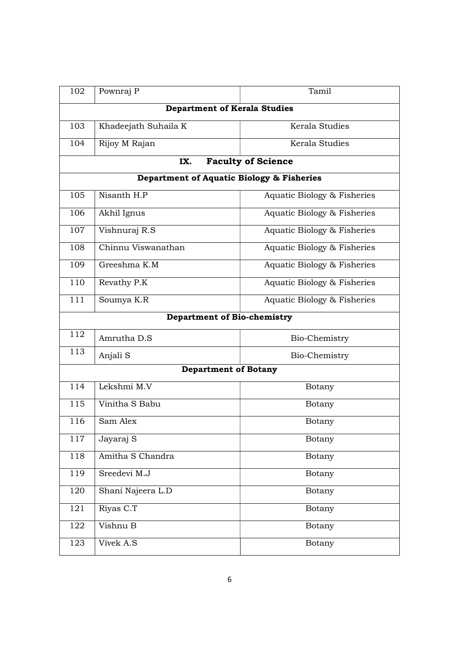| 102                                       | Pownraj P                   | Tamil                       |
|-------------------------------------------|-----------------------------|-----------------------------|
| <b>Department of Kerala Studies</b>       |                             |                             |
| 103                                       | Khadeejath Suhaila K        | Kerala Studies              |
| 104                                       | Rijoy M Rajan               | Kerala Studies              |
|                                           | IX.                         | <b>Faculty of Science</b>   |
| Department of Aquatic Biology & Fisheries |                             |                             |
| 105                                       | Nisanth H.P                 | Aquatic Biology & Fisheries |
| 106                                       | Akhil Ignus                 | Aquatic Biology & Fisheries |
| 107                                       | Vishnuraj R.S               | Aquatic Biology & Fisheries |
| 108                                       | Chinnu Viswanathan          | Aquatic Biology & Fisheries |
| 109                                       | Greeshma K.M                | Aquatic Biology & Fisheries |
| 110                                       | Revathy P.K                 | Aquatic Biology & Fisheries |
| 111                                       | Soumya K.R                  | Aquatic Biology & Fisheries |
| <b>Department of Bio-chemistry</b>        |                             |                             |
| 112                                       | Amrutha D.S                 | Bio-Chemistry               |
| 113                                       | Anjali S                    | Bio-Chemistry               |
|                                           | <b>Department of Botany</b> |                             |
| 114                                       | Lekshmi M.V                 | Botany                      |
| 115                                       | Vinitha S Babu              | <b>Botany</b>               |
| 116                                       | Sam Alex                    | <b>Botany</b>               |
| 117                                       | Jayaraj S                   | <b>Botany</b>               |
| 118                                       | Amitha S Chandra            | <b>Botany</b>               |
| 119                                       | Sreedevi M.J                | Botany                      |
| 120                                       | Shani Najeera L.D           | <b>Botany</b>               |
| 121                                       | Riyas C.T                   | <b>Botany</b>               |
| 122                                       | Vishnu B                    | Botany                      |
| 123                                       | Vivek A.S                   | Botany                      |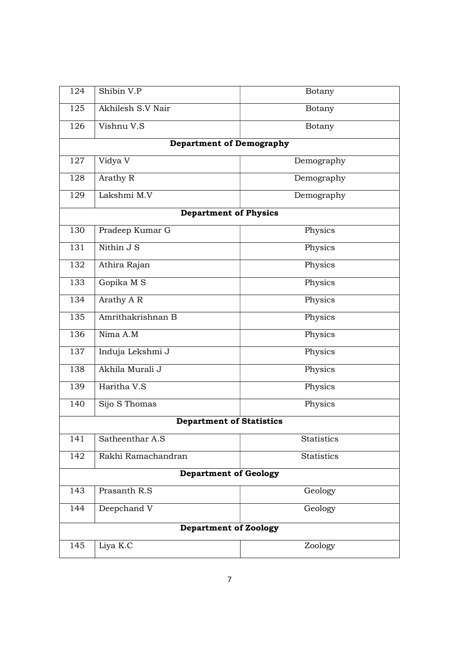| 124                             | Shibin V.P                      | <b>Botany</b>     |  |
|---------------------------------|---------------------------------|-------------------|--|
| 125                             | Akhilesh S.V Nair               | <b>Botany</b>     |  |
| 126                             | Vishnu V.S                      | <b>Botany</b>     |  |
|                                 | <b>Department of Demography</b> |                   |  |
| 127                             | Vidya V                         | Demography        |  |
| 128                             | Arathy R                        | Demography        |  |
| 129                             | Lakshmi M.V                     | Demography        |  |
|                                 | <b>Department of Physics</b>    |                   |  |
| 130                             | Pradeep Kumar G                 | Physics           |  |
| 131                             | Nithin J S                      | Physics           |  |
| 132                             | Athira Rajan                    | Physics           |  |
| 133                             | Gopika M S                      | Physics           |  |
| 134                             | Arathy A R                      | Physics           |  |
| 135                             | Amrithakrishnan B               | Physics           |  |
| 136                             | Nima A.M                        | Physics           |  |
| 137                             | Induja Lekshmi J                | Physics           |  |
| 138                             | Akhila Murali J                 | Physics           |  |
| 139                             | Haritha V.S                     | Physics           |  |
| 140                             | Sijo S Thomas                   | Physics           |  |
| <b>Department of Statistics</b> |                                 |                   |  |
| 141                             | Satheenthar A.S                 | <b>Statistics</b> |  |
| 142                             | Rakhi Ramachandran              | <b>Statistics</b> |  |
| <b>Department of Geology</b>    |                                 |                   |  |
| 143                             | Prasanth R.S                    | Geology           |  |
| 144                             | Deepchand V                     | Geology           |  |
| <b>Department of Zoology</b>    |                                 |                   |  |
| 145                             | Liya K.C                        | Zoology           |  |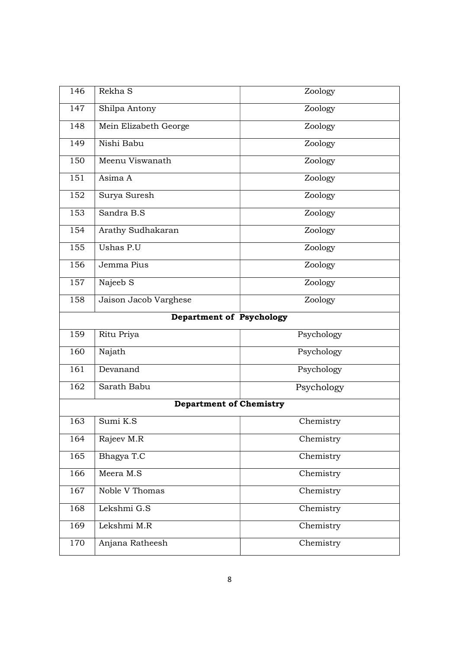| 146                             | Rekha S                        | Zoology    |
|---------------------------------|--------------------------------|------------|
| 147                             | Shilpa Antony                  | Zoology    |
| 148                             | Mein Elizabeth George          | Zoology    |
| 149                             | Nishi Babu                     | Zoology    |
| 150                             | Meenu Viswanath                | Zoology    |
| 151                             | Asima A                        | Zoology    |
| 152                             | Surya Suresh                   | Zoology    |
| 153                             | Sandra B.S                     | Zoology    |
| 154                             | Arathy Sudhakaran              | Zoology    |
| 155                             | Ushas P.U                      | Zoology    |
| 156                             | Jemma Pius                     | Zoology    |
| 157                             | Najeeb S                       | Zoology    |
| 158                             | Jaison Jacob Varghese          | Zoology    |
| <b>Department of Psychology</b> |                                |            |
| 159                             | Ritu Priya                     | Psychology |
| 160                             | Najath                         | Psychology |
| 161                             | Devanand                       | Psychology |
| 162                             | Sarath Babu                    | Psychology |
|                                 | <b>Department of Chemistry</b> |            |
| 163                             | $\overline{\text{Sumi K.S}}$   | Chemistry  |
| 164                             | Rajeev M.R                     | Chemistry  |
| 165                             | Bhagya T.C                     | Chemistry  |
| 166                             | Meera M.S                      | Chemistry  |
| 167                             | Noble V Thomas                 | Chemistry  |
| 168                             | Lekshmi G.S                    | Chemistry  |
| 169                             | Lekshmi M.R                    | Chemistry  |
| 170                             | Anjana Ratheesh                | Chemistry  |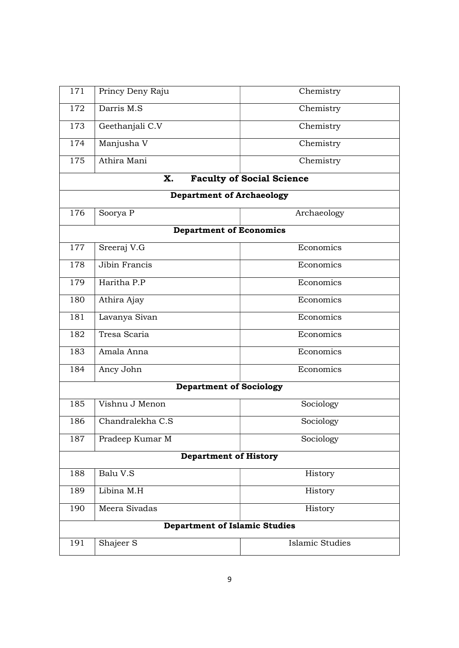| 171                                  | Princy Deny Raju                 | Chemistry                        |
|--------------------------------------|----------------------------------|----------------------------------|
| 172                                  | Darris M.S                       | Chemistry                        |
| 173                                  | Geethanjali C.V                  | Chemistry                        |
| 174                                  | Manjusha V                       | Chemistry                        |
| 175                                  | Athira Mani                      | Chemistry                        |
|                                      | X.                               | <b>Faculty of Social Science</b> |
|                                      | <b>Department of Archaeology</b> |                                  |
| 176                                  | Soorya P                         | Archaeology                      |
|                                      | <b>Department of Economics</b>   |                                  |
| 177                                  | Sreeraj V.G                      | Economics                        |
| 178                                  | Jibin Francis                    | Economics                        |
| 179                                  | Haritha P.P                      | Economics                        |
| 180                                  | Athira Ajay                      | Economics                        |
| 181                                  | Lavanya Sivan                    | Economics                        |
| 182                                  | Tresa Scaria                     | Economics                        |
| 183                                  | Amala Anna                       | Economics                        |
| 184                                  | Ancy John                        | Economics                        |
|                                      | <b>Department of Sociology</b>   |                                  |
| 185                                  | Vishnu J Menon                   | Sociology                        |
| 186                                  | Chandralekha C.S                 | Sociology                        |
| 187                                  | Pradeep Kumar M                  | Sociology                        |
| <b>Department of History</b>         |                                  |                                  |
| 188                                  | Balu V.S                         | History                          |
| 189                                  | Libina M.H                       | History                          |
| 190                                  | Meera Sivadas                    | History                          |
| <b>Department of Islamic Studies</b> |                                  |                                  |
| 191                                  | Shajeer S                        | Islamic Studies                  |